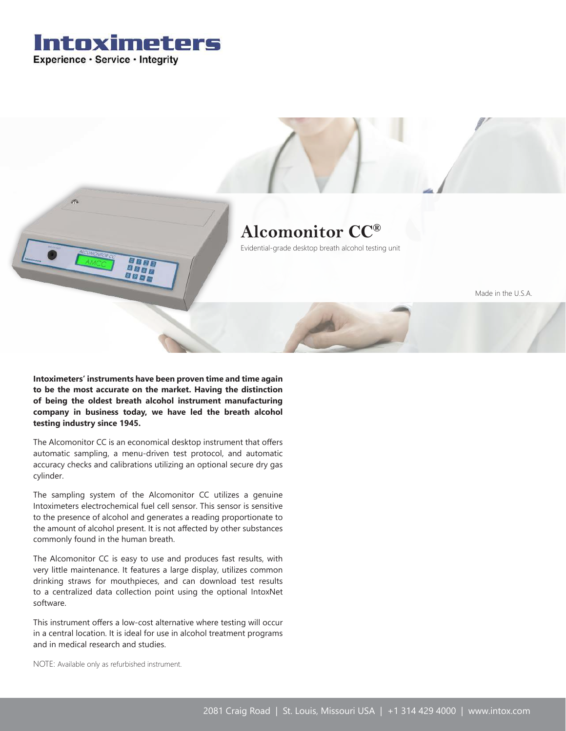



**Intoximeters' instruments have been proven time and time again to be the most accurate on the market. Having the distinction of being the oldest breath alcohol instrument manufacturing company in business today, we have led the breath alcohol testing industry since 1945.**

The Alcomonitor CC is an economical desktop instrument that offers automatic sampling, a menu-driven test protocol, and automatic accuracy checks and calibrations utilizing an optional secure dry gas cylinder.

The sampling system of the Alcomonitor CC utilizes a genuine Intoximeters electrochemical fuel cell sensor. This sensor is sensitive to the presence of alcohol and generates a reading proportionate to the amount of alcohol present. It is not affected by other substances commonly found in the human breath.

The Alcomonitor CC is easy to use and produces fast results, with very little maintenance. It features a large display, utilizes common drinking straws for mouthpieces, and can download test results to a centralized data collection point using the optional IntoxNet software.

This instrument offers a low-cost alternative where testing will occur in a central location. It is ideal for use in alcohol treatment programs and in medical research and studies.

NOTE: Available only as refurbished instrument.